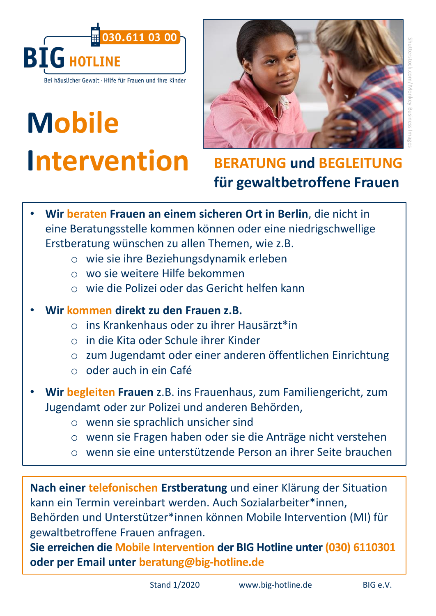

Bei häuslicher Gewalt · Hilfe für Frauen und ihre Kinder

## **Mobile Intervention**



## **BERATUNG und BEGLEITUNG für gewaltbetroffene Frauen**

- **Wir beraten Frauen an einem sicheren Ort in Berlin**, die nicht in eine Beratungsstelle kommen können oder eine niedrigschwellige Erstberatung wünschen zu allen Themen, wie z.B.
	- o wie sie ihre Beziehungsdynamik erleben
	- o wo sie weitere Hilfe bekommen
	- o wie die Polizei oder das Gericht helfen kann
- **Wir kommen direkt zu den Frauen z.B.** 
	- o ins Krankenhaus oder zu ihrer Hausärzt\*in
	- o in die Kita oder Schule ihrer Kinder
	- o zum Jugendamt oder einer anderen öffentlichen Einrichtung
	- o oder auch in ein Café
- **Wir begleiten Frauen** z.B. ins Frauenhaus, zum Familiengericht, zum Jugendamt oder zur Polizei und anderen Behörden,
	- o wenn sie sprachlich unsicher sind
	- o wenn sie Fragen haben oder sie die Anträge nicht verstehen
	- o wenn sie eine unterstützende Person an ihrer Seite brauchen

**Nach einer telefonischen Erstberatung** und einer Klärung der Situation kann ein Termin vereinbart werden. Auch Sozialarbeiter\*innen, Behörden und Unterstützer\*innen können Mobile Intervention (MI) für gewaltbetroffene Frauen anfragen.

**Sie erreichen die Mobile Intervention der BIG Hotline unter (030) 6110301 oder per Email unter beratung@big-hotline.de**